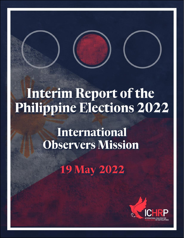# Interim Report of the Philippine Elections 2022

## **International Observers Mission**

**19 May 2022** 

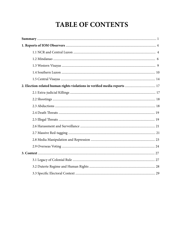### **TABLE OF CONTENTS**

| 2. Election-related human rights violations in verified media reports  17 |
|---------------------------------------------------------------------------|
|                                                                           |
|                                                                           |
|                                                                           |
|                                                                           |
|                                                                           |
|                                                                           |
|                                                                           |
|                                                                           |
|                                                                           |
|                                                                           |
|                                                                           |
|                                                                           |
|                                                                           |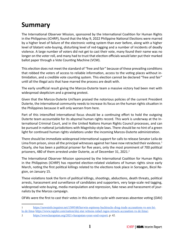### **Summary**

The International Observer Mission, sponsored by the International Coalition for Human Rights in the Philippines (ICHRP), found that the May 9, 2022 Philippine National Elections were marred by a higher level of failure of the electronic voting system than ever before, along with a higher level of blatant vote-buying, disturbing level of red-tagging and a number of incidents of deadly violence. A large number of voters did not get to cast their vote, many found their name was no longer on the voter roll, and many had to trust that election officials would later put their marked ballot paper through a Vote Counting Machine (VCM).

This election does not meet the standard of "free and fair" because of these prevailing conditions that robbed the voters of access to reliable information, access to the voting places without intimidation, and a credible vote counting system. This election cannot be declared "free and fair" until all the illegal acts that have marred the process are dealt with.

The early unofficial result giving the Marcos-Duterte team a massive victory had been met with widespread skepticism and a growing protest.

Given that the Marcos-Duterte UniTeam praised the notorious policies of the current President Duterte, the international community needs to increase its focus on the human rights situation in the Philippines because it will only worsen from here.

Part of this intensified international focus should be a continuing effort to hold the outgoing Duterte team accountable for its abysmal human rights record. This work is underway at the International Criminal Court, and in the United Nations Human Rights Council processes, and can be pursued in national jurisdictions with Magnitsky-style laws. There should be no hint of a green light for continued human rights violations under the incoming Marcos-Duterte administration.

There should be immediate widespread international support for calls to release Senator Leila de Lima from prison, since all the principal witnesses against her have now retracted their evidence.<sup>1</sup> Clearly, she has been a political prisoner for five years, only the most prominent of 700 political prisoners, 480 of them arrested under Duterte, as of December 31, 2021.<sup>2</sup>

The International Observer Mission sponsored by the International Coalition for Human Rights in the Philippines (ICHRP) has reported election-related violations of human rights since early March, noting the first political killings related to the elections took place in Sorsogon, Bicol Region, on January 15.

These violations took the form of political killings, shootings, abductions, death threats, political arrests, harassment and surveillance of candidates and supporters, very large-scale red tagging, widespread vote-buying, media manipulation and repression, fake news and harassment of journalists by the Marcos campaign.

OFWs were the first to cast their votes in this election cycle with overseas absentee voting (OAV)

<sup>1</sup> [https://newsinfo.inquirer.net/1589548/kerwin-espinosa-backtracks-drug-trade-accusations-vs-sen-lei](https://newsinfo.inquirer.net/1589548/kerwin-espinosa-backtracks-drug-trade-accusations-vs-sen-leila-de-lima)[la-de-lima](https://newsinfo.inquirer.net/1589548/kerwin-espinosa-backtracks-drug-trade-accusations-vs-sen-leila-de-lima); <https://www.rappler.com/nation/doj-star-witness-rafael-ragos-retracts-accusation-vs-de-lima/>.

<sup>2</sup> [https://www.karapatan.org/2021+karapatan+year+end+report,](https://www.karapatan.org/2021+karapatan+year+end+report) p. 42.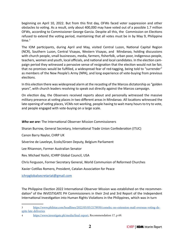beginning on April 10, 2022. But from this first day, OFWs faced voter suppression and other obstacles to voting. As a result, only about 400,000 may have voted out of a possible 1.7 million OFWs, according to Commissioner George Garcia. Despite all this, the Commission on Elections refused to extend the voting period, maintaining that all votes must be in by May 9, Philippine time $^3$ 

The IOM participants, during April and May, visited Central Luzon, National Capital Region (NCR), Southern Luzon, Central Visayas, Western Visayas, and Mindanao, holding discussions with church people, small businesses, media, farmers, fisherfolk, urban poor, indigenous people, teachers, women and youth, local officials, and national and local candidates. In the election campaign period they witnessed a pervasive sense of resignation that the election would not be fair, that no promises would be fulfilled, a widespread fear of red-tagging, being told to "surrender" as members of the New People's Army (NPA), and long experience of vote-buying from previous elections.

In this election there was widespread alarm at the recasting of the Marcos dictatorship as "golden years", with church leaders resolving to speak out directly against the Marcos campaign.

On election day, the Observers received reports about and personally witnessed the massive military presence at voting places in two different areas in Mindanao. All locations witnessed the late opening of voting places, VCMs not working, people having to wait many hours to try to vote, and people engaged with vote-buying on a large scale.

*Who we are:* The International Observer Mission Commissioners

Sharan Burrow, General Secretary, International Trade Union Confederation (ITUC)

Canon Barry Naylor, CHRP UK

Séverine de Laveleye, Ecolo/Groen Deputy, Belgium Parliament

Lee Rhiannon, Former Australian Senator

Rev. Michael Yoshii, ICHRP Global Council, USA

Chris Ferguson, Former Secretary General, World Communion of Reformed Churches

Xavier Cotillas Romero, President, Catalan Association for Peace

[ichrpglobalsecretariat@gmail.com](mailto:ichrpglobalsecretariat@gmail.com)

The Philippine Election 2022 International Observer Mission was established on the recommendation<sup>4</sup> of the INVESTIGATE PH Commissioners in their 2nd and 3rd Report of the Independent International Investigation into Human Rights Violations in the Philippines, which was in turn

<sup>3</sup> [https://www.philstar.com/headlines/2022/05/05/2178930/comelec-no-extension-mail-overseas-voting-de](https://www.philstar.com/headlines/2022/05/05/2178930/comelec-no-extension-mail-overseas-voting-despite-late-deliveries)[spite-late-deliveries](https://www.philstar.com/headlines/2022/05/05/2178930/comelec-no-extension-mail-overseas-voting-despite-late-deliveries)

<sup>4</sup> <https://www.investigate.ph/media/final-report>, Recommendation 17, p 69.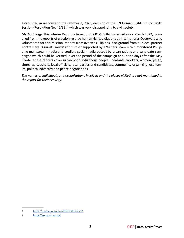established in response to the October 7, 2020, decision of the UN Human Rights Council 45th Session (Resolution No. 45/33),<sup>5</sup> which was very disappointing to civil society.

*Methodology.* This Interim Report is based on six IOM Bulletins issued since March 2022, compiled from the reports of election-related human rights violations by International Observers who volunteered for this Mission, reports from overseas Filipinos, background from our local partner Kontra Daya (Against Fraud)<sup>6</sup> and further supported by a Writers Team which monitored Philippine mainstream media and credible social media output by organizations and candidate campaigns which could be verified, over the period of the campaign and in the days after the May 9 vote. These reports cover urban poor, indigenous people, peasants, workers, women, youth, churches, teachers, local officials, local parties and candidates, community organizing, economics, political advocacy and peace negotiations.

*The names of individuals and organizations involved and the places visited are not mentioned in the report for their security.*

<sup>5</sup> [https://undocs.org/en/A/HRC/RES/45/33.](https://undocs.org/en/A/HRC/RES/45/33)

<sup>6</sup> <https://kontradaya.org/>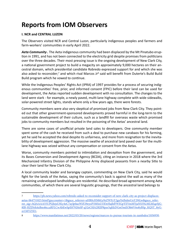### **Reports from IOM Observers**

#### **I. NCR and CENTRAL LUZON**

The Observers visited NCR and Central Luzon, particularly indigenous peoples and farmers and farm-workers' communities in early April 2022.

*Aeta Community .* The Aeta indigenous community had been displaced by the Mt Pinatubo eruption in 1991, and has not been connected to the electricity grid despite promises from politicians over the three decades. Their most pressing issue is the ongoing development of New Clark City, a national government project to build a megacity on approximately 9,000 hectares on their ancestral domain, which presidential candidate Robredo expressed support for and which she was also asked to reconsider;<sup>7</sup> and which rival Marcos Jr<sup>8</sup> said will benefit from Duterte's Build Build Build program which he vowed to continue.

While the Indigenous Peoples' Rights Act (IPRA) of 1997 provides for a process of securing indigenous communities' free, prior, and informed consent (FPIC) before their land can be used for development, the Aetas reported sudden development with no consultation. The changes to the land were stark - for example, a newly paved, multi-lane highway complete with wide sidewalks, solar-powered street lights, stands where only a few years ago, there were forests.

Community members were also very skeptical of promised jobs from New Clark City. They pointed out that other government-sponsored developments proved harmful in the long-term to the sustainable development of their culture, such as a landfill for overseas waste which promised jobs to community members but resulted in the poisoning of the Aetas' ancestral land.

There are some cases of unofficial private land sales to developers. One community member spent some of the cash he received from such a deal to purchase new carabaos for his farming, yet he said he accepted the deal despite its unfairness, and more from resignation to the inevitability of development aggression. The massive swathe of ancestral land paved over for the multilane highway was seized without any compensation or consent from the Aetas.

Worse, community members pointed to intimidation and deception from the government, and its Bases Conversion and Development Agency (BCDA), citing an instance in 2018 where the 3rd Mechanized Infantry Division of the Philippine Army displaced peasants from a nearby Sitio to clear their land for New Clark City.

A local community leader and barangay captain, commenting on New Clark City, said he would fight for the lands of the Aetas, saying the community's back is against the wall as many of the remaining undeveloped landholdings are residential. He described broad agreement among Aeta communities, of which there are several linguistic groupings, that the ancestral land belongs to

<sup>7</sup> [https://ph.news.yahoo.com/robredo-asked-to-reconsider-support-of-new-clark-city-as-project-displaces](https://ph.news.yahoo.com/robredo-asked-to-reconsider-support-of-new-clark-city-as-project-displaces-aetas-064751825.html?guccounter=1&guce_referrer=aHR0cHM6Ly9zZWFyY2guYnJhdmUuY29tLw&guce_referrer_sig=AQAAAA55UPQJejsU0Ly4zC7ayJp0aoWiF29eyoP3MSsUODeHajhfFWIGpYEVmMYjaNS5NcMLbEqeSjG8JB-HZJNrk4zBm46ccaRFLCwAbEwSpE87920zSP-q52zC0JA2RJJP8pzr5qKkDGnOmEOl66V6o8yBSp_KQST_8yGzr1MYZ5E1)[aetas-064751825.html?guccounter=1&guce\\_referrer=aHR0cHM6Ly9zZWFyY2guYnJhdmUuY29tLw&guce\\_refer](https://ph.news.yahoo.com/robredo-asked-to-reconsider-support-of-new-clark-city-as-project-displaces-aetas-064751825.html?guccounter=1&guce_referrer=aHR0cHM6Ly9zZWFyY2guYnJhdmUuY29tLw&guce_referrer_sig=AQAAAA55UPQJejsU0Ly4zC7ayJp0aoWiF29eyoP3MSsUODeHajhfFWIGpYEVmMYjaNS5NcMLbEqeSjG8JB-HZJNrk4zBm46ccaRFLCwAbEwSpE87920zSP-q52zC0JA2RJJP8pzr5qKkDGnOmEOl66V6o8yBSp_KQST_8yGzr1MYZ5E1)[rer\\_sig=AQAAAA55UPQJejsU0Ly4zC7ayJp0aoWiF29eyoP3MSsUODeHajhfFWIGpYEVmMYjaNS5NcMLbEqeSjG-](https://ph.news.yahoo.com/robredo-asked-to-reconsider-support-of-new-clark-city-as-project-displaces-aetas-064751825.html?guccounter=1&guce_referrer=aHR0cHM6Ly9zZWFyY2guYnJhdmUuY29tLw&guce_referrer_sig=AQAAAA55UPQJejsU0Ly4zC7ayJp0aoWiF29eyoP3MSsUODeHajhfFWIGpYEVmMYjaNS5NcMLbEqeSjG8JB-HZJNrk4zBm46ccaRFLCwAbEwSpE87920zSP-q52zC0JA2RJJP8pzr5qKkDGnOmEOl66V6o8yBSp_KQST_8yGzr1MYZ5E1)[8JB-HZJNrk4zBm46ccaRFLCwAbEwSpE87920zSP-q52zC0JA2RJJP8pzr5qKkDGnOmEOl66V6o8yBSp\\_KQST\\_8yG](https://ph.news.yahoo.com/robredo-asked-to-reconsider-support-of-new-clark-city-as-project-displaces-aetas-064751825.html?guccounter=1&guce_referrer=aHR0cHM6Ly9zZWFyY2guYnJhdmUuY29tLw&guce_referrer_sig=AQAAAA55UPQJejsU0Ly4zC7ayJp0aoWiF29eyoP3MSsUODeHajhfFWIGpYEVmMYjaNS5NcMLbEqeSjG8JB-HZJNrk4zBm46ccaRFLCwAbEwSpE87920zSP-q52zC0JA2RJJP8pzr5qKkDGnOmEOl66V6o8yBSp_KQST_8yGzr1MYZ5E1)[zr1MYZ5E1](https://ph.news.yahoo.com/robredo-asked-to-reconsider-support-of-new-clark-city-as-project-displaces-aetas-064751825.html?guccounter=1&guce_referrer=aHR0cHM6Ly9zZWFyY2guYnJhdmUuY29tLw&guce_referrer_sig=AQAAAA55UPQJejsU0Ly4zC7ayJp0aoWiF29eyoP3MSsUODeHajhfFWIGpYEVmMYjaNS5NcMLbEqeSjG8JB-HZJNrk4zBm46ccaRFLCwAbEwSpE87920zSP-q52zC0JA2RJJP8pzr5qKkDGnOmEOl66V6o8yBSp_KQST_8yGzr1MYZ5E1).

<sup>8</sup> <https://www.manilatimes.net/2022/03/20/news/regions/marcos-to-pursue-tourism-in-zambales/1836930>.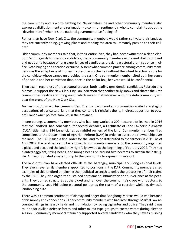the community and is worth fighting for. Nevertheless, he and other community members also expressed disillusionment and resignation - a common sentiment is who to complain to about the "development", when it's the national government itself doing it?

Rather than have New Clark City, the community members would rather cultivate their lands as they are currently doing, growing plants and tending the area to ultimately pass on to their children.

Older community members said that, in their entire lives, they had never witnessed a clean election. With regards to specific candidates, many community members expressed disillusionment and neutrality because of long experiences of candidates breaking electoral promises once in office. Vote-buying and coercion occurred. A somewhat common practice among community members was the acceptance of money in vote-buying schemes without the intent to actually vote for the candidate whose campaign provided the cash. One community member cited both her sense of principle and her conviction that, once in the ballot box, her vote would be confidential.

Then again, regardless of the electoral process, both leading presidential candidates Robredo and Marcos Jr. support the New Clark City - an indication that neither truly knows and shares the Aeta communities' realities on the ground, which means that whoever wins, the Aeta community will bear the brunt of the New Clark City.

*Farmer and farm worker communities.* The two farm worker communities visited are staging occupations of agricultural land that they contend is rightfully theirs, in direct opposition to powerful landowner political families in the province.

In one barangay, community members who had long worked a 200-hectare plot learned in 2016 that the landlord had concealed, for several decades, a Certificate of Land Ownership Awards (CLOA) title listing 236 beneficiaries as rightful owners of the land. Community members filed complaints to the Department of Agrarian Reform (DAR) in order to assert their ownership over the land. The DAR issued a final order for the land to be distributed to the farmers in 2019. As of April 2022, the land had yet to be returned to community members. So the community organized a picket and occupied the land they rightfully owned at the beginning of February 2022. They had planted eggplant, string beans, and mongo beans on around two hectares to sustain their struggle. A mayor donated a water pump to the community to express his support.

The landlord's clan have elected officials at the barangay, municipal and Congressional levels. They even have family members appointed to positions in the DAR. Community members cited examples of this landlord employing their political strength to delay the processing of their claims by the DAR. They also organized sustained harassment, intimidation and surveillance at the peasants. They burned structures at the picket and ran over the community's crops with tractors. So the community sees Philippine electoral politics as the realm of a coercion-wielding, dynastic landholding elite.

There was a common sentiment of dismay and anger that Bongbong Marcos would win because of his money and connections. Older community members who had lived through Martial Law recounted killings in nearby fields and intimidation by roving vigilantes and police. They said it was routine for civilian defense forces and other militia-type groups to coerce voters during election season. Community members staunchly supported several candidates who they saw as pushing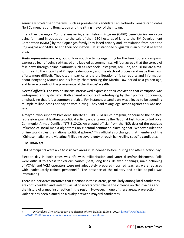genuinely pro-farmer programs, such as presidential candidate Leni Robredo, Senate candidates Neri Colmenares and Bong Labog and the sitting mayor of their town.

In another barangay, Comprehensive Agrarian Reform Program (CARP) beneficiaries are occupying farmland in opposition to the sale of their 130 hectares of land to the SM Development Corporation (SMDC) by the Cojuangco family.They faced bribery and intimidation from both the Cojuangcos and SMDC to end their occupation. SMDC stationed 56 guards in an outpost near the area.

*Youth representatives.* A group of four youth activists organizing for the Leni Robredo campaign expressed fear of being red-tagged and labeled as communists. All four agreed that the spread of fake news through online platforms such as Facebook, Instagram, YouTube, and TikTok are a major threat to the integrity of Philippine democracy and the electoral process and made their own efforts more difficult. They cited in particular the proliferation of false reports and information about Bongbong Marcos and his family, characterizing the Martial Law period as a golden age, and false accounts of the provenance of the Marcos' wealth.

*Elected officials.* The two politicians interviewed expressed their conviction that corruption was widespread and systematic. Both shared accounts of vote-buying by their political opponents, emphasizing that it is a common practice. For instance, a candidate was alleged to be spending multiple million pesos per day on vote buying. They said taking legal action against this was useless.

A mayor , who supports President Duterte's "Build Build Build" program, denounced the political repression against legitimate political activity undertaken by the National Task Force to End Local Communist Armed Conflict (NTF-ELCAC). An elected official from the NCR decried the outsized influence of social media algorithms on electoral sentiment, claiming that "whoever rules the online world rules the national political sphere." This official also charged that members of the "Chinese mafia" were violating Philippine sovereignty through bankrolling specific candidates.

#### **II. MINDANAO**

IOM participants were able to visit two areas in Mindanao before, during and after election day.

Election day in both cities was rife with militarization and voter disenfranchisement. Polls were difficult to access for various causes (heat, long lines, delayed openings, malfunctioning of VCMs) and VCM operators were not adequately prepared - trained teachers were replaced with inadequately trained personnel.<sup>9</sup> The presence of the military and police at polls was intimidating.

There is a pervasive narrative that elections in these areas, particularly among local candidates, are conflict-ridden and violent. Casual observers often blame the violence on clan rivalries and the history of armed insurrection in the region. However, in one of these areas, pre-election violence has been blamed on a rivalry between mayoral candidates.

<sup>9</sup> *In Cotabato City, police to serve as election officers*, Bulatlat (May 8, 2022), [https://www.bulatlat.](https://www.bulatlat.com/2022/05/08/in-cotabato-city-police-to-serve-as-election-officers/) [com/2022/05/08/in-cotabato-city-police-to-serve-as-election-officers/](https://www.bulatlat.com/2022/05/08/in-cotabato-city-police-to-serve-as-election-officers/)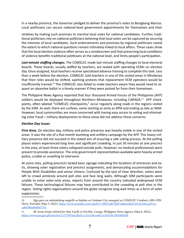In a nearby province, the Governor pledged to deliver the province's votes to Bongbong Marcos. Local politicians can secure national-level government appointments for themselves and their

relatives by making such promises to marshal local votes for national candidates. Further, traditional politicians rely on national politicians believing that local votes can be captured by securing the interests of local candidates. Such endorsements and promises by regional politicians reveal the extent to which national questions remain intimately linked to local affairs. These cases show that the local election violence often serves as a smokescreen and that preserving local conditions of violence benefits traditional politicians at the national level, and limits people's participation.

*Last-minute staffing changes.* The COMELEC made last-minute staffing changes to local electoral boards. These boards, usually staffed by teachers, are tasked with operating VCMs on election day. Once assigned, local teachers receive specialized advance training to complete this task. Less than a week before the election, COMELEC told teachers in one of the visited areas in Mindanao that their roles would be shifted, sparking protests that replacement VCM operators would be insufficiently trained.10 The COMELEC also failed to make teachers aware they would need to request an absentee ballot in a timely manner if they were posted far from their hometown.

The Philippine News Agency reported that four thousand Armed Forces of the Philippines (AFP) soldiers would be deployed throughout Northern Mindanao, including CARAGA.<sup>11</sup> AFP checkpoints, often labeled "COMELEC checkpoints," occur regularly along roads in the regions visited by the IOM. As well, there are curfews, some starting as early as 4PM and ending as late as 9AM. However, local communities are more concerned with having easy access to voting and eliminating voter fraud – military deployments to these areas did not address these concerns.

#### *Election Day Issues*

First Area. On election day, military and police presence was heavily visible in one of the visited areas. It was the site of a five-month bombing and artillery campaign by the AFP. This heavy military presence did not succeed in the stated aim of ensuring a safe voting process. At the polling places voters experienced long lines and significant crowding. In just 30 minutes at one precinct in the area, at least three voters collapsed outside polls. However, no medical professionals were present to provide assistance. The only government representatives available were heavily armed police, unable or unwilling to intervene.

At some sites, polling precincts lacked basic signage indicating the locations of entrances and exits, showing voter registration and precinct assignments, and demarcating accommodations for People With Disabilities and senior citizens. Confused by the lack of clear direction, voters were left to crowd aimlessly around poll sites and face long waits. Although IOM participants were unable to enter voter-only areas, reports from around the country indicated widespread VCM failures. These technological failures may have contributed to the crowding at poll sites in the region. Voting rights organizations around the globe recognize long wait times as a form of voter suppression.

<sup>10</sup> *Mga guro na nakatakdang magsilbi sa halalan sa Cotabato City sumugod sa COMELEC Cotabato*, ABS-CBN News, YouTube (May 5, 2022), [https://www.youtube.com/watch?v=MN7mR7bdt7w&msclkid=81c8c26ecea911e](https://www.youtube.com/watch?v=MN7mR7bdt7w&msclkid=81c8c26ecea911eca86386a60d6b5754)[ca86386a60d6b5754](https://www.youtube.com/watch?v=MN7mR7bdt7w&msclkid=81c8c26ecea911eca86386a60d6b5754).

<sup>11</sup> *4K Army troops enlisted for May 9 polls in NorMin, Caraga*, Philippine News Agency (May 6, 2022), [https://www.pna.gov.ph/articles/1173793?msclkid=cc31e558cea811ec9167de74b506839d.](https://www.pna.gov.ph/articles/1173793?msclkid=cc31e558cea811ec9167de74b506839d)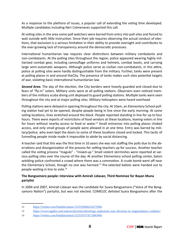As a response to the plethora of issues, a popular call of extending the voting time developed. Multiple candidates including Neri Colmenares supported this call.

At voting sites in the area some poll watchers were barred from entry into poll sites and forced to wait outside with little instruction. Since their job requires observing the actual conduct of elections, that exclusion is a serious limitation in their ability to provide oversight and contributes to the ever-growing lack of transparency around the democratic processes.

International humanitarian law requires clear distinctions between military combatants and non-combatants. At the polling sites throughout the region, police appeared wearing highly militarized combat gear, including camouflage uniforms and helmets, combat boots, and carrying large semi-automatic weapons. Although police serve as civilian non-combatants, in this attire, police at polling sites were hardly distinguishable from the military. Further, tanks were present at polling places in and around theCity. The presence of tanks makes such sites potential targets of war, violating basic international humanitarian law.

*Second Area.* The day of the election, the City borders were heavily guarded and closed due to fears of "fly-in" voters. Military units were at all polling stations. Observers even noticed members of the military scuba diving unit deployed to guard polling stations. Multiple tanks were seen throughout the city and at major polling sites. Military helicopters were heard overhead.

Polling stations were delayed in opening throughout the city. At 10am, an Elementary School polling station had yet to be opened, despite people being in line since the early morning. At some voting locations, lines stretched around the block. People reported standing in line for up to four hours. There were reports of restrictions of food vendors at these locations, leaving voters in line for hours without nearby access to food or water.<sup>12</sup> Small entrances into polling places choked access, and only small groups of people were allowed in at one time. Entry was barred by military/police, who even kept the doors to some of these locations closed and locked. This tactic of funnelling people inside made it impossible to abide by social distancing.

A teacher said that this was the first time in 10 years she was not staffing the polls due to the aberrations and disorganization of the process for setting teachers up for success. Another teacher called the voting process "magulo" - "mixed-up." Small violent skirmishes were reported at various polling sites over the course of the day. At another Elementary school polling center, baton wielding police confronted a crowd where there was a commotion. A crude bomb went off near the Elementary School, though no one was harmed.<sup>13</sup> Pre-selected ballots were handed out to people waiting in line to vote. $14$ 

#### **The Bangsamoro people: Interview with Amirah Lidasan, Third Nominee for Bayan Muna partylist**

In 2004 and 2007, Amirah Lidasan was the candidate for Suara Bangsamoro ("Voice of the Bangsamoro Nation") partylist, but was not elected. COMELEC delisted Suara Bangsamoro after the

<sup>12</sup> [https://twitter.com/bulatlat/status/1523529666216275968.](https://twitter.com/bulatlat/status/1523529666216275968)

<sup>13</sup> <https://www.rappler.com/nation/elections/shootings-explosions-mar-elections-in-maguindanao-cotabato/>.

<sup>14</sup> [https://twitter.com/bulatlat/status/1523535574572883968.](https://twitter.com/bulatlat/status/1523535574572883968)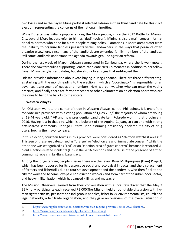two losses and so the Bayan Muna partylist selected Lidasan as their third candidate for this 2022 election, representing the concerns of the national minorities.

While Duterte was initially popular among the Moro people, since the 2017 Battle for Marawi City, several Moro leaders refer to him as "duti" (poison). Mining is also a main concern for national minorities who hope for a pro-people mining policy. Plantations in Moro areas suffer from the inability to organize landless peasants versus landowners, in the ways that peasants often organize elsewhere, since many of the landlords are extended family members of the landless. Still some landlords understand the agenda towards genuine agrarian reform.

During the last week of March, Lidasan campaigned in Zamboanga, where she is well-known. There she saw tarpaulins supporting Senate candidate Neri Colmenares in addition to her fellow Bayan Muna partylist candidates, but she also noticed signs that red-tagged them.

Lidasan provided information about vote-buying in Maguindanao. There are three different stages starting with the month leading to the election in which a "coordinator" is responsible for an advanced assessment of needs and numbers. Next is a poll watcher who can enter the voting precinct, and finally there are former teachers or other volunteers on an election board who are the ones to hand the ballots to the voters.

#### **III. Western Visayas**

An IOM team went to the center of trade in Western Visayas, central Philippines. It is one of the top vote-rich provinces with a voting population of  $1,628,752<sup>15</sup>$  the majority of whom are young at 18-44 years old.<sup>16</sup> VP and now presidential candidate Leni Robredo won in that province in 2016. Having lost in that city, which is a bulwark of the Aquino-Cojuangco clan and with strong anti-Marcos sentiments, Rodrigo Duterte upon assuming presidency declared it a city of drug users, forcing the mayor to leave.

In this election, fourteen towns in this province were considered as "election watchlist areas".<sup>17</sup> Thirteen of these are categorized as "orange" or "election areas of immediate concern" while the other one was categorized as "red" or an "election area of grave concern" because it recorded violent election-related incidents (ERI) in the 2016 elections and because of the presence of armed communist rebels in far-flung barangays.

Among the long-standing people's issues there are the Jalaur River Multipurpose (Dam) Project, which has been opposed for its destructive social and ecological impacts; and the displacement of farmers and fisherfolks due to tourism development and the pandemic, who then flock to the city for work and become low-paid construction workers and form part of the urban poor sector; and heavy militarization which has caused killings and massacre.

The Mission Observers learned from their conversation with a local taxi driver that the May 3 BBM rally participants each received P2,000.The Mission held a roundtable discussion with human rights activists, peasants and indigenous peoples, fisher folks, environmentalists, church and legal networks, a fair trade organization, and they gave an overview of the overall situation in

<sup>15</sup> <https://www.rappler.com/nation/elections/vote-rich-regions-provinces-cities-2022-elections/>.

<sup>16</sup> [https://www.panaynews.net/majority-of-iloilo-voters-young/.](https://www.panaynews.net/majority-of-iloilo-voters-young/)

<sup>17</sup> [https://www.panaynews.net/14-towns-in-iloilo-election-watch-list-areas/.](https://www.panaynews.net/14-towns-in-iloilo-election-watch-list-areas/)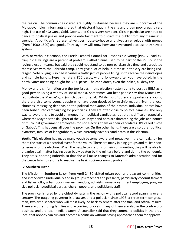the region. The communities visited are highly militarized because they are supportive of the Makabayan bloc. Informants shared that electoral fraud in the city and urban poor areas is very high. The use of 4G: Guns, Gold, Goons, and Girls is very rampant. Girls in particular are hired to dance to political jingles and provide entertainment to distract the public from any meaningful agenda. A politician's representative goes house-to-house and gives an envelope with money (from P1000-1500) and goods. They say they will know how you have voted because they have a system.

With or without elections, the Parish Pastoral Council for Responsible Voting (PPCRV) said extra-judicial killings are a perennial problem. Catholic nuns used to be part of the PPCRV in the roving election teams, but said they could not stand to be non-partisan this time and associated themselves with the Robredo camp. They give a lot of help, but those in the city are being redtagged. Vote buying is so bad it causes a traffic jam of people lining up to receive their envelopes and sample ballots. Here the rate is 800 pesos, with a follow-up after you have voted. In the north, votes are being bought for 3000 pesos. The candidates, even the police, all deny this.

Money and disinformation are the top issues in this election - attempting to portray BBM as a good person using a variety of social media. Sometimes you hear people say that Marcos will redistribute the Marcos' gold (which does not exist). While most Robredo supporters are young, there are also some young people who have been deceived by misinformation. Even the local churches' messaging depends on the political motivation of the pastors. Individual priests have been bribed into campaigning for politicians. They are often close to political families. The only way to avoid this is to avoid all money from political candidates, but that is difficult - especially where the Mayor is the daughter of the Vice Mayor and both are threatening the jobs and homes of municipal government employees for not electing them or their candidates. It's called "Vote or Gabot". This happens all over the province. On the other hand, there are also other political dynasties, families of landgrabbers, which currently have six candidates in this election.

**Youth.** This election has made many youth become aware and proactive in the campaigns - for them the start of a historical event for the youth. There are many joining groups and rallies spontaneously for the election. When the people can return to their communities, they will be able to organize again - after having been badly beaten by the military before and during the pandemic. They are supporting Robredo so that she will make changes to Duterte's administration and for the peace talks to resume to resolve the basic socio-economic problems.

#### **IV. Southern Luzon**

The Mission in Southern Luzon from April 24-30 visited urban poor and peasant communities, and interviewed (individually and in groups) teachers and peasants, particularly coconut farmers and fisher folks, urban poor dwellers, vendors, activists, some government employees, progressive politicians/political parties, church people, and politician's staff.

The province is ruled by the oldest dynasty in the region with a political record spanning over a century. The outgoing governor is a lawyer, and a politician since 1998: a three-term congressman, two-time senator who will most likely be back to senate after the final and official results. There are other ruling families and according to locals, many of them are also in the contracting business and are local media owners. A councilor said that they command politics in the province; that nobody can run and become a politician without having approached them for approval.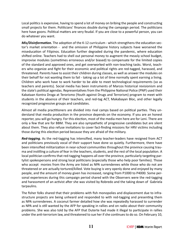Local politics is expensive, having to spend a lot of money on bribing the people and constructing small projects for them. Politicians' finances double during the campaign period. The politicians here have goons. Political matters are very feudal. If you are close to a powerful person, you can do whatever you want.

*Mis/Disinformation.* The adoption of the K-12 curriculum - which strengthens the education sector's market orientation - and the omission of Philippine history subjects have worsened the miseducation of Filipinos. Education further degraded during the pandemic, where education shifted online. Teachers had to shell out personal money to augment the measly school budget, improvise modules (sometimes erroneous and/or biased) to compensate for the limited copies of the standard and approved ones, and get overworked with non-teaching tasks. Worst, teachers who organize and fight for their economic and political rights are red-tagged, harassed, and threatened. Parents have to assist their children during classes, as well as answer the modules on their behalf for not wanting them to fail - taking up a lot of time normally spent earning a living. Children who work have to work harder to be able to meet technological requirements (so as teachers and parents). Social media has been instruments of Marcos historical revisionism and the state's political agendas. Representatives from the Philippine National Police (PNP) used their Kabataan Kontra Droga at Terorismo (Youth against Drugs and Terrorism) program to meet with students in the absence of their teachers, and red-tag ACT, Makabayan Bloc, and other legally recognized progressive groups and candidates.

Almost all media practitioners are divided into rival camps based on political parties. They understand that media production in the province depends on the economy. If you are an honest reporter, you will go hungry. For this election, most of the media men here are for Leni. There are only a few that are for BBM. They are also sympathetic of progressive candidates but are silent about them. They also refuse invitations to cover fact-finding missions for HRV victims including those during this election period because they are afraid of the military.

*Red-tagging.* As the red-tagging has intensified, many teacher-leaders have resigned from ACT and politicians previously vocal of their support have done so quietly. Furthermore, there have been intensified militarization in near-school communities throughout the province causing trauma and instilling a culture of fear in the teachers, students, and the rest of the local population. A local politician confirms that red-tagging happens all over the province, particularly targeting partylist spokespersons and strong local politicians (especially those who help poor families). Those who accept monies from the Army are listed as NPA surrenderees while those who do not are threatened or are actually tortured/killed. Vote buying is very openly done and enjoyed by many people, and the amount of money given has increased, ranging from P1000 to P4000. Some personal experiences during this campaign period shared with the Observers were the red-tagging and harassment of an activist after she was visited by Robredo and the taking down of Gabriela tarpaulins.

The fisher folks shared that their problems with fish monopolies and displacement due to infrastructure projects are being unheard and responded to with red-tagging and presenting them as NPA surrenderees. A coconut farmer detailed how she was repeatedly harassed to surrender as NPA and is still wanted by the AFP for speaking in rallies and on radio about their community problems. She was also told by the AFP that Duterte had made it illegal to participate in rallies under the anti-terrorism law, and threatened to sue her if she continues to do so. On February 10,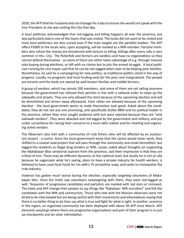2020, the AFP held her husband and son hostage for a day to ensure she would not speak with the Vice President as she was visiting the City that day.

A local politician acknowledged that red-tagging and killing happens all over the province, but was particularly bad in one of the towns that was visited. The locals did not want to be visited and most local politicians are also scared even if the main targets are the partylist leaders. The AFP offers P5000 to the locals who, upon accepting, will be marked as a NPA member. Partylist members who refuse the money are threatened with torture or killing. Killings after every rally is very common in this City. The fisherfolk and farmers are landless and have no organizations so they cannot defend themselves - so some of them are either taken advantage of e.g. through massive vote buying during elections, or left with no choice but to join the armed struggle. A local politician running for vice mayor said that he can be red-tagged when seen to be helping poor families. Nonetheless, he said he is campaigning for new politics, as traditional politics stand in the way of progress. Locally, no programs and local funding exist for the poor and marginalized. The people are tenants and the lands are owned by well-known families and middle farmers.

A group of vendors, which has almost 200 members, said some of them are not selling anymore because the government has refused their permits in line with a national order to clean up the sidewalks and streets. They are only allowed this time because of the upcoming election and will be demolished and driven away afterwards. Even rallies are allowed because of the upcoming election - the local government wants to make themselves look good. Asked about the candidates, they do not see any one promising, and specifically dislike BBM and his political leader in the province, whom they once sought audience with but were rejected because they are "only sidewalk vendors". They were attacked and red-tagged by the government and military, and put under surveillance for raising their concerns to a local radio station and for meeting and organizing street vendors.

The Observers also met with a community of crab fishers who will be affected by an ecotourism project - a casino. Since the local government knew that the casino would never work, they shifted to a coastal road project that will pass through the community and entail demolition, but tagged the residents as illegal drug tenders or NPA. Locals, asked about thoughts on supporting the Makabayan Bloc senatorial aspirant from the province, said their impression is that they are critical of him. There may be different dynamics at the national level, but locally he is not an ally because he sugarcoats what he's saying, plans to have a private industry for health workers, is believed to have used local funds for his wife's TV primetime soap, and seeks to monopolize the crab industry.

Violence has gotten much worse during the election, especially targeting volunteers of Makabayan bloc. Once the intels saw volunteers campaigning with them, they were red-tagged as well. Tarpaulins of progressive candidates and partylists are marked with red stars or removed. The intels and AFP change their posters to say things like "Kabataan: NPA recruiters" and link the candidates with the NPA and communists. Those who met with the Mission observers were not afraid to be interviewed but are being careful with their movements and whereabouts saying that there is no better thing to do than say what is true and fight for what is right. In another province in the region, an organized community has been deployed with about 50 AFP since March. AFP elements would go where there are progressive organizations and part of their program is to put up checkpoints and do voter intimidation.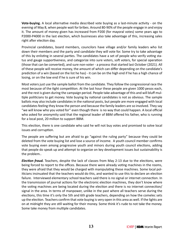**Vote-buying.** A local alternative media described vote buying as a last-minute activity - on the evening of May 8, when people wait for bribes. Around 80-90% of the people engage in and enjoy it. The amount of money given has increased from P200 (for mayoral votes) some years ago to P2000-P4000 in the last election, which businesses also take advantage of this, increasing sales right after election day.

Provincial candidates, board members, councilors have village and/or family leaders who list down their members and the party and candidate they will vote for. Some try to take advantage of this by enlisting in several parties. The candidates have a set of people who verify voting status and gauge supportiveness, and categorize into sure voters, soft voters, for special operation (those that can be converted), and sure non-voter - a process that started last October (2021). All of these people will receive money, the amount of which can differ depending on the candidate's prediction of a win (based on the list he has) - it can be on the high end if he has a high chance of losing, or on the low end if he is sure of his win.

Most voters just use the sample ballot from the candidate. They follow the congressional race the most because of the tight competition. At the last hour these people are given 1000 pesos each, and the rest is given during the campaign period. People take advantage of this and will bluff multiple politicians to get money. Vote buying by national candidates is not as obvious. The sample ballots may also include candidates in the national posts, but people are more engaged with local candidates feeling they know the person and because the family leaders are so involved. They say "we will know who you voted for" even though there is no way that could happen. A local official who asked for anonymity said that the regional leader of BBM offered his father, who is running for a local post, 20 million to support BBM.

This election, there is one candidate who said he will not buy votes and promised to solve local issues and corruption.

The people are suffering but are afraid to go "against the ruling party" because they could be deleted from the vote buying list and lose a source of income. A youth council member confirms vote buying even among progressive youth and minors during youth council elections, adding that people do speak up and attempt to organize on key development issues but sustainability is the problem..

*Election fraud.* Teachers, despite the lack of classes from May 2-13 due to the elections, were being forced to report to the offices. Because there were already voting machines in the rooms, they were afraid that they would be charged with manipulating these machines. Some local politicians insinuated that the teachers would do this, and wanted to use this to declare an election failure. Interviewed elementary school teachers said there is no signal or internet connection. In the transmission of journal actions for the electronic election machines, they don't know where the voting machines are being located during the election and there is no internet connection/ signal in the area. In terms of manpower, unlike in the past where all teachers serve during the elections, this time it's only the 5th and 6th grade teachers, depending on how the comelec sets up the election. Teachers confirm that vote buying is very open in this area as well. If the lights are on at midnight they are still waiting for their money. Some think it's rude to not take the money. Some take money from multiple candidates.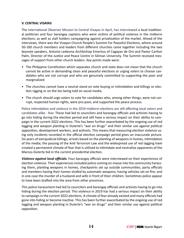#### **V. CENTRAL VISAYAS**

The International Observer Mission to Central Visayas in April, has interviewed a local traditional politician and four barangay captains who were victims of political violence in the midterm elections; as well as stall holders campaigning against privatization of the market. Ahead of the interviews, there was the Visayan Church People's Summit For Peaceful Elections, where around 50-100 church members and leaders from different churches came together including the two keynote speakers, Antonio Ledesma Archbishop Emeritus of Cagayan de Oro and Pastor Carlton Palm, Director of the Justice and Peace Centre in Siliman University. The Summit received messages of support from other church leaders. Key points made were:

- The Philippine Constitution which separates church and state does not mean that the church cannot be active in demanding clean and peaceful elections or urging voters to choose candidates who are not corrupt and who are genuinely committed to supporting the poor and marginalized
- The churches cannot have a neutral stand on vote buying or intimidation and killings or election rigging or on the lies being told on social media.
- The church should urge voters to vote for candidates who, among other things, were not corrupt, respected human rights, were pro-poor, and supported the peace process.

Police intimidation and violence in the 2019 midterm elections are still affecting local voters and candidates alike - fear. These had led to councilors and barangay officials and activists having to go into hiding during the election period and still have a serious impact on their ability to campaign in the current 2022 elections. This has been further exacerbated by the ongoing use of red tagging and weapon planting in Duterte's "war on drugs'' and their similar use against political opposition, development workers, and activists. This means that measuring election violence using only incidents recorded in the official election campaign period gives an inaccurate picture. Six years of extrajudicial killings; arrests based on the planting of weapons in homes, intimidation of the media; the passing of the Anti Terrorism Law and the widespread use of red tagging have created a permanent climate of fear that is utilised to intimidate and neutralise opponents of the Marcos-Duterte bid in the current presidential election.

*Violence against local officials.* Four barangay officials were interviewed on their experiences of election violence. Their experiences included police coming en masse into the community harassing them, planting weapons in homes, checkpoints set up outside communities; party officials and members having their homes strafed by automatic weapons; having vehicles set on fire; and in one case the murder of a husband and wife in front of their children. Sometimes police appear to have been drafted into the area from other provinces.

This police harassment had led to councilors and barangay officials and activists having to go into hiding during the election period. This violence in 2019 has had a serious impact on their ability to campaign in the current 2022 elections. A climate of fear already existed and many officials had gone into hiding or become inactive. This has been further exacerbated by the ongoing use of red tagging and weapon planting in Duterte's "war on drugs'' and their similar use against political opposition.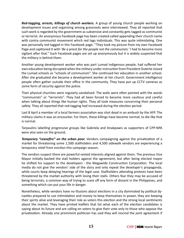*Red-tagging, arrests, killings of church workers.* A group of young church people working on development issues and organizing among grassroots were interviewed. They all reported that such work is regarded by the government as subversive and constantly gets tagged as communist or terrorist. An anonymous Facebook page has been created called appending their church name with contra communist movement which red tags individuals. This was quite intimidating. One was personally red-tagged in this Facebook page. "They took my picture from my own Facebook Page and captioned it with '*Be a priest for the people not the communists.'* I had to become more vigilant after that." Such Facebook pages are set up anonymously but it is widely suspected that the military is behind them.

Another young development worker who was part Lumad indigenous people, had suffered her own education being disrupted when the military under instruction from President Duterte closed the Lumad schools as "schools of communism". She continued her education in another school. After she graduated she became a development worker at her church. Government intelligence people often gather outside their office in the community. They have put up CCTV cameras as some form of security against the police.

Their physical churches were regularly vandalised. The walls were often painted with the words "communists" or "terrorists". They had all been forced to become more cautious and careful when talking about things like human rights. They all took measures concerning their personal safety. They all reported that red-tagging had increased during the election period.

Last 8 April a member of a local farmers association was shot dead in an ambush by the AFP. The military claims it was an encounter. For them, these killings have become normal; to die like that is normal.

Tarpaulins labelling progressive groups like Gabriela and Anakpawis as supporters of CPP-NPA were also seen on the ground,

*Temporary "ceasefire" on the urban poor.* Vendors campaigning against the privatization of a market for threatening some 1,500 stallholders and 4,500 sidewalk vendors are experiencing a temporary relief from eviction this campaign season.

The vendors suspect there are powerful vested interests aligned against them. The previous Vice Mayor initially backed the stall holders against the agreement, but after being elected mayor he shifted his support to the developers - the Megawide Construction Corporation. The local media do not give the vendors' side of the story and only repeat the developer's propaganda, while courts keep delaying hearings of the legal case. Stallholders attending protests have been threatened by the market authority with losing their stalls. Others fear they may be accused of being terrorists, a common way of trying to scare off any form of dissent in the Philippines, and something which can put your life in danger.

Nonetheless, while vendors have no illusions about elections in a city dominated by political dynasties prepared to use intimidation and money to keep themselves in power, they are keeping their spirits alive and leveraging their role as voters this election and the strong local sentiments about the market. They have printed leaflets that list what each of the election candidates is saying about its future and are calling on voters to give their vote only to those who oppose the privatisation. Already one prominent politician has said they will rescind the joint agreement if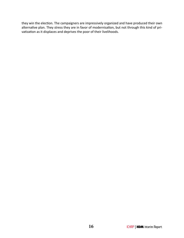they win the election. The campaigners are impressively organized and have produced their own alternative plan. They stress they are in favor of modernisation, but not through this kind of privatization as it displaces and deprives the poor of their livelihoods.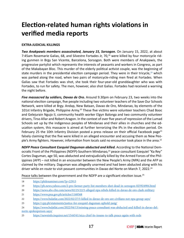### **Election-related human rights violations in verified media reports**

#### **EXTRA-JUDICIAL KILLINGS**

**Two Anakpawis members assassinated, January 15, Sorsogon.** On January 15, 2022, at about 7:45am Rosemarie Galias, 68, and Silvestre Fortades Jr, 70,<sup>18</sup> were killed by four motorcycle riding gunmen in Brgy San Vicente, Barcelona, Sorsogon. Both were members of Anakpawis, the progressive partylist which represents the interests of peasants and workers in Congress, as part of the Makabayan Bloc. This murder of the elderly political activist couple, was the beginning of state murders in the presidential election campaign period. They were in their tricycle,  $19$  which was parked along the road, when two pairs of motorcycle-riding men fired at Fortades. When Galias saw that Fortades was shot, she took their four-year-old granddaughter who was with Fortades, to run for safety. The men, however, also shot Galias. Fortades had received a warning the night before.

*Five massacred by soldiers, Davao de Oro.* Around 9.30pm on February 23, two weeks into the national election campaign, five people including two volunteer teachers of the Save Our Schools Network, were killed at Brgy. Andap, New Bataan, Davao de Oro, Mindanao, by elements of the 101st Infantry Brigade, Philippine Army.<sup>20</sup> These five victims were volunteer teachers Chad Booc and Gelejurain Ngujo II, community health worker Elgyn Balonga and two community volunteer drivers, Tirso Añar and Robert Aragon. In the context of over five years of repression of the Lumad Schools set up by the indigenous peoples of Mindanao and their allies in churches and the education system, this massacre is aimed at further terrorizing the IPs in the election period. On February 25 the 10th Infantry Division posted a press release on their official Facebook page<sup>21</sup> falsely claiming that the five were killed in an alleged encounter and accusing them as New People's Army fighters. However, information from locals said no encounter took place in the area.<sup>22</sup>

*NDFP Peace Consultant Ezequiel Daguman abducted and killed.* According to the National Democratic Front of the Philippines (NDFP)-Southern Mindanao,<sup>23</sup> peace consultant Ezequiel "Ka Rey" Cortes Daguman, age 50, was abducted and extrajudicially killed by the Armed Forces of the Philippines (AFP) – not killed in an encounter between the New People's Army (NPA) and the AFP as claimed by the military. Daguman was allegedly unarmed and had been abducted along with his driver while *en route* to visit peasant communities in Davao del Norte on March 7, 2022.<sup>24</sup>

Peace talks between the government and the NDFP are a significant election issue.<sup>25</sup>

- 18 <https://philexaminer.com/?p=22913>
- 19 <https://ph.news.yahoo.com/2-pro-farmer-party-list-members-shot-dead-in-sorsogon-025924984.html>
- 20 <https://news.abs-cbn.com/news/02/25/22/5-alleged-npa-rebels-killed-in-davao-de-oro-clash-military>
- 21 <https://www.pna.gov.ph/articles/1168568>
- 22 <https://www.bulatlat.com/2022/02/27/5-killed-in-davao-de-oro-are-civilians-not-npa-group-says/>
- 23 <https://cpp.ph/statements/justice-for-ezequiel-daguman-uphold-jasig/>
- 24 [https://www.bulatlat.com/2022/04/13/missing-peace-consultant-was-abducted-and-killed-in-davao-del](https://www.bulatlat.com/2022/04/13/missing-peace-consultant-was-abducted-and-killed-in-davao-del-norte-spokesperson-says/)[norte-spokesperson-says/](https://www.bulatlat.com/2022/04/13/missing-peace-consultant-was-abducted-and-killed-in-davao-del-norte-spokesperson-says/)
- 25 <https://newsinfo.inquirer.net/1544541/nica-chief-its-insane-to-talk-peace-again-with-reds>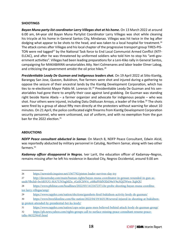#### **SHOOTINGS**

*Bayan Muna party-list coordinator Larry Villegas shot at his home.* On 13 March 2022 at around 6:00 am, 64-year old Bayan Muna Partylist Coordinator Larry Villegas was shot while cleaning his tricycle at his home in General Santos City, Mindanao. Villegas was hit twice in the leg after dodging what appear to be shots to the head, and was taken to a local hospital for treatment.<sup>26</sup> The attack comes after Villegas and his local chapter of the progressive transport group TIRES-PIS-TON were red tagged<sup>27</sup> by the National Task force to End Local Communist Armed Conflict (NTF-ELCAC), and after he was threatened by uniformed soldiers who told him to stop his "anti-government activities". Villegas had been leading preparations for a Leni-Kiko rally in General Santos, campaigning for MAKABAYAN senatoriables Atty. Neri Colmenares and labor leader Elmer Labog, and criticizing the government amidst the oil price hikes. $28$ 

*Presidentiable Leody De Guzman and indigenous leaders shot.* On 19 April 2022 at Sitio Kiantig, Barangay San Jose, Quezon, Bukidnon, five farmers were shot and injured during a gathering to oppose the seizure of their ancestral lands by the Kiantig Development Corporation, which has ties to re-electionist Mayor Pablo M. Lorenzo III.<sup>29</sup> Presidentiable Leody De Guzman and his senatoriables had gone there to amplify their case against land grabbing. De Guzman was standing right beside Nanie Abela – a farmer organizer and advocate for indigenous people – who was shot. Four others were injured, including Datu Didilusan Arroyo, a leader of the tribe.<sup>30</sup> The shots were fired by a group of about fifty men directly at the protesters without warning for about 10 minutes. On 21 April, the police confiscated eight firearms from Kiantig Development Corporation security personnel, who were unlicensed, out of uniform, and with no exemption from the gun ban for the 2022 election.<sup>31</sup>

#### **ABDUCTIONS**

*NDFP Peace consultant abducted in Samar.* On March 8, NDFP Peace Consultant, Edwin Alcid, was reportedly abducted by military personnel in Catubig, Northern Samar, along with two other farmers.32

*Kadamay officer disappeared in Negros.* Iver Larit, the education officer of Kadamay–Negros, remains missing after he left his residence in Bacolod City, Negros Occidental, around 9.00 am

<sup>26</sup> <https://newsinfo.inquirer.net/1567792/piston-leader-survives-slay-try>

<sup>27</sup> [http://davaotoday.com/main/human-rights/bayan-muna-coordinator-in-gensan-wounded-in-gun-as](http://davaotoday.com/main/human-rights/bayan-muna-coordinator-in-gensan-wounded-in-gun-assault/?fbclid=IwAR3UG-MA7UN5sgMZn_rGeECItW4_ct0BaPHifNXhD9nV9u3QjZWwn-XqhQU)[sault/?fbclid=IwAR3UG-MA7UN5sgMZn\\_rGeECItW4\\_ct0BaPHifNXhD9nV9u3QjZWwn-XqhQU](http://davaotoday.com/main/human-rights/bayan-muna-coordinator-in-gensan-wounded-in-gun-assault/?fbclid=IwAR3UG-MA7UN5sgMZn_rGeECItW4_ct0BaPHifNXhD9nV9u3QjZWwn-XqhQU)

<sup>28</sup> [https://www.philstar.com/headlines/2022/03/14/2167237/chr-probe-shooting-bayan-muna-coordina](https://www.philstar.com/headlines/2022/03/14/2167237/chr-probe-shooting-bayan-muna-coordinator-larry-villegas/amp/)[tor-larry-villegas/amp/](https://www.philstar.com/headlines/2022/03/14/2167237/chr-probe-shooting-bayan-muna-coordinator-larry-villegas/amp/)

<sup>29</sup> <https://www.rappler.com/nation/elections/gunshots-fired-bukidnon-activity-leody-de-guzman/>

<sup>30</sup> [https://www.bworldonline.com/the-nation/2022/04/19/443138/several-injured-in-shooting-at-bukidnon](https://www.bworldonline.com/the-nation/2022/04/19/443138/several-injured-in-shooting-at-bukidnon-ip-protest-attended-by-presidential-bet-ka-leody/)[ip-protest-attended-by-presidential-bet-ka-leody/](https://www.bworldonline.com/the-nation/2022/04/19/443138/several-injured-in-shooting-at-bukidnon-ip-protest-attended-by-presidential-bet-ka-leody/)

<sup>31</sup> <https://www.rappler.com/nation/cops-seize-guns-men-believed-behind-attack-leody-de-guzman-group/>

<sup>32</sup> [https://ph.news.yahoo.com/rights-groups-call-to-surface-missing-peace-consultant-resume-peace](https://ph.news.yahoo.com/rights-groups-call-to-surface-missing-peace-consultant-resume-peace-talks-063229445.html)[talks-063229445.html](https://ph.news.yahoo.com/rights-groups-call-to-surface-missing-peace-consultant-resume-peace-talks-063229445.html)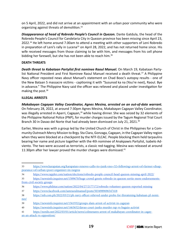on 5 April, 2022, and did not arrive at an appointment with an urban poor community who were organizing against threats of demolition.<sup>33</sup>

*Disappearance of head of Robredo People's Council in Quezon.* Dante Gatdula, the head of the Robredo People's Council for Candelaria City in Quezon province has been missing since April 23, 2022.<sup>34</sup> He left home around 7.00am to attend a meeting with other supporters of Leni Robredo in preparation of Leni's rally in Lucena<sup>35</sup> on April 28, 2022, and has not returned home since. His wife received messages from those claiming to be with him, and messages from his cell phone bidding her farewell, but she has not been able to reach him.<sup>36</sup>

#### **DEATH THREATS**

*Death threat to Kabataan Partylist first nominee Raoul Manuel.* On March 19, Kabataan Partylist National President and First Nominee Raoul Manuel received a death threat.<sup>37</sup> A Philippine Navy officer reposted news about Manuel's statement on Chad Booc's autopsy results - one of the New Bataan 5 massacre victims - captioning it with "Susunod ka na (You're next), Raoul. Bye in advance." The Philippine Navy said the officer was relieved and placed under investigation for making the post.<sup>38</sup>

#### **ILLEGAL ARRESTS**

*Makabayan Cagayan Valley Coordinator, Agnes Mesina, arrested on an out-of-date warrant.*  On February 28, 2022, at around 7:30pm Agnes Mesina, Makabayan Cagayan Valley Coordinator, was illegally arrested in Aparri, Cagayan,<sup>39</sup> while having dinner. She was seized by 32 elements of the Philippine National Police (PNP), for murder charges issued by the Tagum Regional Trial Court Branch 30 in Davao del Norte that had already been dismissed on July 21, 2021.<sup>40</sup>

Earlier, Mesina was with a group led by the United Church of Christ in the Philippines for a Community Outreach Mercy Mission to Brgy. Sta Clara, Gonzaga, Cagayan, in the Cagayan Valley region when they were blocked at a checkpoint by the NTF-ELCAC. People blocking them held tarpaulins bearing her name and picture together with the 4th nominee of Anakpawis Partylist, Isabelo Adviento. The two were accused as terrorists, a classic red-tagging. Mesina was released at around 11:30pm after her lawyer proved the murder charges were dismissed.<sup>41</sup>

<sup>33</sup> [https://www.karapatan.org/karapatan+renews+calls+to+junk+mo+32+following+arrest+of+farmer+disap](https://www.karapatan.org/karapatan+renews+calls+to+junk+mo+32+following+arrest+of+farmer+disappearance+of+urban+poor+organizer+in+negros)[pearance+of+urban+poor+organizer+in+negros](https://www.karapatan.org/karapatan+renews+calls+to+junk+mo+32+following+arrest+of+farmer+disappearance+of+urban+poor+organizer+in+negros)

<sup>34</sup> <https://www.rappler.com/nation/elections/robredo-people-council-head-quezon-missing-april-2022/>

<sup>35</sup> [https://newsinfo.inquirer.net/1589670/huge-crowd-greets-robredo-in-quezon-sortie-more-endorsements](https://newsinfo.inquirer.net/1589670/huge-crowd-greets-robredo-in-quezon-sortie-more-endorsements-from-civil-society-groups)[from-civil-society-groups](https://newsinfo.inquirer.net/1589670/huge-crowd-greets-robredo-in-quezon-sortie-more-endorsements-from-civil-society-groups)

<sup>36</sup> <https://www.philstar.com/nation/2022/04/27/2177172/robredo-volunteer-quezon-reported-missing>

<sup>37</sup> <https://www.facebook.com/iamraoulmanuel/posts/5034989696547418>

<sup>38</sup> [https://mb.com.ph/2022/03/21/ph-navy-officer-relieved-under-probe-for-threatening-kabataan-pl-nomi](https://mb.com.ph/2022/03/21/ph-navy-officer-relieved-under-probe-for-threatening-kabataan-pl-nominee/)[nee/](https://mb.com.ph/2022/03/21/ph-navy-officer-relieved-under-probe-for-threatening-kabataan-pl-nominee/)

<sup>39</sup> <https://newsinfo.inquirer.net/1561932/groups-slam-arrest-of-activist-in-cagayan>

<sup>40</sup> <https://newsinfo.inquirer.net/1463652/davao-court-junks-murder-rap-vs-baguio-activist>

<sup>41</sup> [https://nordis.net/2022/03/01/article/news/colmenares-arrest-of-makabayan-coordinator-in-cagay](https://nordis.net/2022/03/01/article/news/colmenares-arrest-of-makabayan-coordinator-in-cagayan-an-attack-vs-opposition/)[an-an-attack-vs-opposition/](https://nordis.net/2022/03/01/article/news/colmenares-arrest-of-makabayan-coordinator-in-cagayan-an-attack-vs-opposition/)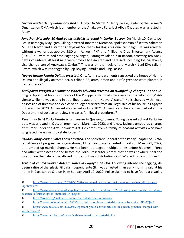*Farmer leader Henry Palaje arrested in Albay.* On March 7, Henry Palaje, leader of the Farmer's Organization OMA which is a member of the Anakpawis Party List Albay Chapter, was arrested in Albay.

*Jonathan Mercado, 10 Anakpawis activists arrested in Cavite, Bacoor.* On March 10, Cavite police in Barangay Mayugam, Silang, arrested Jonathan Mercado, spokesperson of Teatro Kabataan Mula sa Nayon and a staff of Anakpawis Southern Tagalog's regional campaign. He was arrested without a warrant at approx. 8:30 am. As well, PNP and Philippine Drug Enforcement Agency (PDEA) in Cavite raided sitio Bagong Silangan, Barangay Talaba 7 in Bacoor, arresting ten Anakpawis volunteers. At least nine were physically assaulted and harassed, including Joel Salabania, vice chairperson of Anakpawis Cavite.<sup>42</sup> This was on the heels of the March 4 Leni-Kiko rally in Cavite, which was red-tagged by Rep Boying Remulla and Ping Lacson.

*Negros farmer Nemfa Delima arrested.* On 1 April, state elements ransacked the house of Nemfa Delima and illegally arrested her. A caliber .38, ammunition and a rifle grenade were planted in her residence.<sup>43</sup>

*Anakpawis Partylist 4th Nominee Isabelo Adviento arrested on trumped up charges.* In the evening of April 8, at least 30 officers of the Philippine National Police arrested Isabelo 'Buting' Adviento while he was eating in a Jollibee restaurant in Nueva Vizcaya.44 He is charged with illegal possession of firearms and explosives allegedly seized from an illegal raid of his house in Cagayan in December 2020. A warrant was issued in June 2021. Adviento and his counsel had asked the Department of Justice to review the cases for illegal procedures.<sup>45</sup>

*Peasant activist Carlo Reduta was arrested in Quezon province.* Young peasant activist Carlo Reduta was arrested in Quezon province on March 18, 2022, and is now facing trumped-up charges of murder under the Anti-Terrorism Act. He comes from a family of peasant activists who have long faced harassment by state forces.<sup>46</sup>

*BAYAN Panay leader Elmer Forro arrested.* The Secretary General of the Panay Chapter of BAYAN (an alliance of progressive organizations), Elmer Forro, was arrested in Iloilo on March 29, 2022, on trumped-up murder charges. He had been red-tagged multiple times before his arrest. Forro and other witnesses testified before the Iloilo Prosecutor's office that he was nowhere near the location on the date of the alleged murder but was distributing COVID-19 aid to communities.<sup>47</sup>

*Arrest of church worker Aldeem Yañez in Cagayan de Oro.* Following intense red tagging, Aldeem Yañez of the Iglesia Filipina Independiente (IFI) was arrested in an early morning raid at his home in Cagayan de Oro on Palm Sunday, April 10, 2022. Police claimed to have found a pistol, a

<sup>42</sup> [https://www.bulatlat.com/2022/03/12/attacks-vs-anakpawis-coordinators-volunteers-in-southern-taga](https://www.bulatlat.com/2022/03/12/attacks-vs-anakpawis-coordinators-volunteers-in-southern-tagalog-intensify/)[log-intensify/](https://www.bulatlat.com/2022/03/12/attacks-vs-anakpawis-coordinators-volunteers-in-southern-tagalog-intensify/)

<sup>43</sup> [https://www.karapatan.org/karapatan+renews+calls+to+junk+mo+32+following+arrest+of+farmer+disap](https://www.karapatan.org/karapatan+renews+calls+to+junk+mo+32+following+arrest+of+farmer+disappearance+of+urban+poor+organizer+in+negros)[pearance+of+urban+poor+organizer+in+negros](https://www.karapatan.org/karapatan+renews+calls+to+junk+mo+32+following+arrest+of+farmer+disappearance+of+urban+poor+organizer+in+negros)

<sup>44</sup> <https://kodao.org/anakpawis-nominee-arrested-in-nueva-vizcaya/>

<sup>45</sup> https://newsinfo.inquirer.net/1580554/party-list-nominee-arrested-in-nueva-vizcaya#ixzz7Pw7ZJtn6

<sup>46</sup> [https://www.bulatlat.com/2022/03/21/peasant-youth-activist-arrested-in-quezon-province-charged-with](https://www.bulatlat.com/2022/03/21/peasant-youth-activist-arrested-in-quezon-province-charged-with-anti-terror-act/)[anti-terror-act/](https://www.bulatlat.com/2022/03/21/peasant-youth-activist-arrested-in-quezon-province-charged-with-anti-terror-act/)

<sup>47</sup> <https://www.rappler.com/nation/activist-elmer-forro-arrested-iloilo/>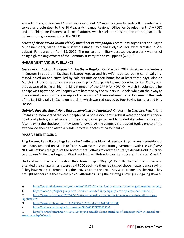grenade, rifle grenades and "subversive documents".<sup>48</sup> Yañez is a good-standing IFI member who served as a volunteer to the IFI Visayas-Mindanao Regional Office for Development (VIMROD) and the Philippine Ecumenical Peace Platform, which seeks the resumption of the peace talks between the government and the NDFP.

*Arrest of three Bayan Muna elderly members in Pampanga***.** Community organizers and Bayan Muna members, Maria Teresa Buscayno, Erlinda David and Evelyn Munoz, were arrested in Mabalacat, Pampanga on April 13, 2022. The police and military accused these elderly women of being high ranking officers of the Communist Party of the Philippines (CPP).<sup>49</sup>

#### **HARASSMENT AND SURVEILLANCE**

*Systematic attack on Anakpawis in Southern Tagalog.* On March 9, 2022, Anakpawis volunteers in Quezon in Southern Tagalog, Felizardo Repaso and his wife, reported being continually harassed, spied on and surveilled by soldiers outside their home for at least three days. Also on March 9, plain clothes officers were searching for Anakpawis Laguna Coordinator Red Clado, who they accuse of being a "high ranking member of the CPP-NPA-NDF." On March 5, volunteers for Anakpawis Cagayan Valley Chapter were harassed by the military in Isabela while on their way to join a mural painting activity in support of Leni-Kiko.<sup>50</sup> These systematic attacks came on the heels of the Leni-Kiko rally in Cavite on March 4, which was red-tagged by Rep Boying Remulla and Ping Lacson.

*Gabriela Partylist Rep. Arlene Brosas surveilled and harassed.* On April 4 in Cagayan, Rep. Arlene Brosas and members of the local chapter of Gabriela Women's Partylist were stopped at a checkpoint and photographed while on their way to campaign and to undertake voters' education. After leaving the checkpoint, they were followed. At the venue, a state agent took a photo of the attendance sheet and asked a resident to take photos of participants.<sup>51</sup>

#### **MASSIVE RED TAGGING**

**Ping Lacson, Remulla red tags Leni-Kiko Cavite rally March 4.** Senator Ping Lacson, a presidential candidate, tweeted on March 6: "This is worrisome. A coalition government with the CPP/NPA/ NDF will set back the gains of the government's efforts to end the country's decades-old insurgency problem."52 He was targeting Vice President Leni Robredo over her successful rally on March 4.

On local radio, Cavite 7th District Rep. Jesus Crispin "Boying" Remulla claimed that those who attended the campaign rally were paid P500 each. He then red tagged those in attendance saying, "They have many students there, the activists from the Left. They were trained by the NDF. They brought banners but these were pink."53 Attendees using the hashtag #BoyingSinungaling showed

<sup>48</sup> <https://www.mindanews.com/top-stories/2022/04/ifi-cries-foul-over-arrest-of-red-tagged-member-in-cdo/>

<sup>49</sup> <https://kodao.org/rights-group-says-3-women-arrested-in-pampanga-are-organizers-not-terrorists/>

<sup>50</sup> [https://www.bulatlat.com/2022/03/12/attacks-vs-anakpawis-coordinators-volunteers-in-southern-taga](https://www.bulatlat.com/2022/03/12/attacks-vs-anakpawis-coordinators-volunteers-in-southern-tagalog-intensify/)[log-intensify/](https://www.bulatlat.com/2022/03/12/attacks-vs-anakpawis-coordinators-volunteers-in-southern-tagalog-intensify/)

<sup>51</sup> <https://www.facebook.com/100069036405667/posts/281320534179158/>

<sup>52</sup> <https://twitter.com/iampinglacson/status/1500325771755225092>

<sup>53</sup> [https://newsinfo.inquirer.net/1564109/boying-remulla-claims-attendees-of-campaign-rally-in-general-tri](https://newsinfo.inquirer.net/1564109/boying-remulla-claims-attendees-of-campaign-rally-in-general-trias-were-paid-p500-each)[as-were-paid-p500-each](https://newsinfo.inquirer.net/1564109/boying-remulla-claims-attendees-of-campaign-rally-in-general-trias-were-paid-p500-each)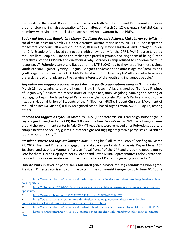the reality of the event. Robredo herself called on both Sen. Lacson and Rep. Remulla to show proof or stop making false accusations.54 Soon after, on March 10, 12 Anakpawis Partylist Cavite members were violently attacked and arrested without warrant by the PDEA.

*Badoy red tags Leni, Baguio City Mayor, Cordillera People's Alliance, Makabayan partylists.* In social media posts on March 21, Undersecretary Lorraine Marie Badoy, NTF-ELCAC spokesperson for sectoral concerns, attacked VP Robredo, Baguio City Mayor Magalong, and Sorsogon Governor Chiz Escudero for alleged connections with or sympathy for the CPP-NPA.<sup>55</sup> She also targeted the Cordillera People's Alliance and Makabayan partylist groups, accusing them of being "urban operatives" of the CPP-NPA and questioning why Robredo's camp refused to condemn them. In response, VP Robredo's camp said Badoy and the NTF-ELCAC had to show proof for these claims. Youth Act Now Against Tyranny - Baguio- Benguet condemned the attacks against "peoples and youth organizations such as KABATAAN Partylist and Cordillera Peoples' Alliance who have only tirelessly served and advanced the genuine interests of the youth and indigenous people."

*Tarpaulins red tagging progressive partylist and youth organizations hung in Baguio City***.** On March 25, red-tagging tarps were hung in Brgy. St. Joseph Village, signed by "Patriotic Filipinos of Baguio City", despite the recent order of Mayor Benjamin Magalong banning the posting of red tagging tarps. The tarps tagged Kabataan Partylist, Gabriela Women's Party and youth organizations National Union of Students of the Philippines (NUSP), Student Christian Movement of the Philippines (SCMP and) a duly recognized school-based organization, ACS UP Baguio, among others.56

*Robredo red-tagged in Leyte.* On March 28, 2022, just before VP Leni's campaign sortie began in Leyte, signs linking her to the CPP, the NDFP and the New People's Army (NPA) were hung on trees around the government center in Palo City.<sup>57</sup> These signs were removed after Robredo supporters complained to the security guards, but other signs red-tagging progressive partylists could still be found around the city**. 58**

*President Duterte red-tags Makabayan bloc.* During his "Talk to the People" briefing on March 29, 2022, President Duterte red-tagged the Makabayan partylists Anakpawis, Bayan Muna, ACT Teachers, and Gabriela Women's Party as "legal fronts" of the CPP and urged the people not to vote for them. House Deputy Minority Leader and Bayan Muna Representative Carlos Zarate condemned this as a desperate election tactic in the face of Robredo's growing popularity.<sup>59</sup>

**Duterte hints in favor of peace talks but intelligence adviser red-tags candidates who agree.**  President Duterte promises to continue to crush the communist insurgency up to June 30. But he

- 59 [https://newsinfo.inquirer.net/1575492/duterte-echoes-ntf-elcac-links-makabayan-bloc-anew-to-commu-](https://newsinfo.inquirer.net/1575492/duterte-echoes-ntf-elcac-links-makabayan-bloc-anew-to-communists)
- [nists](https://newsinfo.inquirer.net/1575492/duterte-echoes-ntf-elcac-links-makabayan-bloc-anew-to-communists)

<sup>54</sup> [https://www.rappler.com/nation/elections/boying-remulla-ping-lacson-under-fire-red-tagging-leni-robre](https://www.rappler.com/nation/elections/boying-remulla-ping-lacson-under-fire-red-tagging-leni-robredo-supporters/)[do-supporters/](https://www.rappler.com/nation/elections/boying-remulla-ping-lacson-under-fire-red-tagging-leni-robredo-supporters/)

<sup>55</sup> [https://mb.com.ph/2022/03/21/ntf-elcac-exec-slams-vp-leni-baguio-mayor-sorsogon-governor-over-cpp](https://mb.com.ph/2022/03/21/ntf-elcac-exec-slams-vp-leni-baguio-mayor-sorsogon-governor-over-cpp-npa-issues/)[npa-issues/](https://mb.com.ph/2022/03/21/ntf-elcac-exec-slams-vp-leni-baguio-mayor-sorsogon-governor-over-cpp-npa-issues/)

<sup>56</sup> <https://www.facebook.com/1432036267094639/posts/2882774175354167/>

<sup>57</sup> [https://www.karapatan.org/duterte+and+ntf+elcacs+red+tagging+vs+makabayan+and+robre-](https://www.karapatan.org/duterte+and+ntf+elcacs+red+tagging+vs+makabayan+and+robredo+spate+of+attacks+and+arrests+undermine+integrity+of+elections)

[do+spate+of+attacks+and+arrests+undermine+integrity+of+elections](https://www.karapatan.org/duterte+and+ntf+elcacs+red+tagging+vs+makabayan+and+robredo+spate+of+attacks+and+arrests+undermine+integrity+of+elections)

<sup>58</sup> <https://www.rappler.com/nation/elections/leni-robredo-red-tagged-streamers-leyte-visit-march-28-2022/>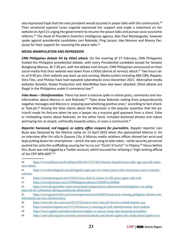also expressed hope that the next president would succeed in peace talks with the communists.<sup>60</sup> Then senatorial aspirant Loren Legarda expressed her support and made a statement on her website on April 21 urging the government to resume the peace talks and pursue socio-economic reforms.<sup>61</sup> The head of President Duterte's intelligence agency, Alex Paul Monteagudo, however spoke against presidential candidates Leni Robredo, Ping Lacson, Isko Moreno and Manny Pacquiao for their support for resuming the peace talks.<sup>62</sup>

#### **MEDIA MANIPULATION AND REPRESSION**

*CNN Philippines debate hit by DDoS attack.* On the evening of 27 February, CNN Philippines hosted the Philippine presidential debate, with every Presidential candidate except for Senator Bongbong Marcos. At 7:30 pm, with the debate mid-stream, CNN Philippines announced on their social media that their website was down from a DDoS (denial of service) attack.<sup>63</sup> Two hours later, at 9:30 pm, their website was back up and running. Media outlets including ABS-CBN, Rappler, Vera Files, and Philstar have had repeated cyberattacks since December 2021. Alternative media websites Bulatlat, Kodao Production and AlterMidya have also been attacked. DDoS attacks are illegal in the Philippines under E-commerce law.<sup>64</sup>

*Fake News – Disinformation.* There has been a massive spike in online posts, comments and misinformation about Marcos Jr. and Robredo.<sup>65</sup> "Data show Robredo reeling from preponderantly negative messages and Marcos Jr. enjoying overwhelming positive ones," according to fact-checker Tsek.ph.<sup>66</sup> Among the false claims about the Marcoses is the popular assertion that the patriarch made his fortune when he was a lawyer via a massive gold payment from a client. False or misleading claims about Robredo, on the other hand, included doctored photos and videos portraying her as stupid, unfriendly towards voters, or even a communist.<sup>67</sup>

*Reporter harassed, red tagged, as safety office reopens for journalists. Rappler* reporter Lian Buan was harassed by the Marcos camp on 13 April 2022 when she approached Marcos Jr. for an interview after his rally in Quezon City. A Marcos media relations officer shoved her wrist and kept putting down her smartphone – which she was using to take video – while security personnel pushed her onto the scaffolding causing her to cry out "Ouch! It hurts!" in Filipino.<sup>68</sup> Hours before this, Buan was red-tagged by a Twitter account, which accused her of being a "high ranking official of the CPP-NPA-NDF".69

63 <https://www.facebook.com/CNNPhilippines/photos/3385699111669964>

- [pines-hit-by-cyberattack-during-presidential-debate.html](https://www.ifj.org/media-centre/news/detail/category/press-releases/article/philippines-cnn-philippines-hit-by-cyberattack-during-presidential-debate.html)
- 65 [https://www.gmanetwork.com/news/topstories/nation/826034/marcos-jr-winning-philippine-election-mis](https://www.gmanetwork.com/news/topstories/nation/826034/marcos-jr-winning-philippine-election-misinformation-say-fact-checkers/story/)[information-say-fact-checkers/story/](https://www.gmanetwork.com/news/topstories/nation/826034/marcos-jr-winning-philippine-election-misinformation-say-fact-checkers/story/)
- 66 <https://news.abs-cbn.com/news/03/23/22/marcos-heir-wins-ph-election-misinformation-race>
- 67 <https://newsinfo.inquirer.net/1572763/marcos-jr-winning-ph-poll-misinformation-drive-analysis>
- 68 <https://www.rappler.com/nation/elections/rappler-to-marcos-camp-stop-harassing-journalists/>
- 69 [https://cmfr-phil.org/press-freedom-protection/attacks-and-threats-against-the-media/alerts/rappler-jour-](https://cmfr-phil.org/press-freedom-protection/attacks-and-threats-against-the-media/alerts/rappler-journalist-shoved-during-uniteam-rally/)

<sup>60</sup> [https://www.philstar.com/headlines/2022/04/17/2174812/duterte-hopeful-peace-talks-cpp-npa-ndf-under](https://www.philstar.com/headlines/2022/04/17/2174812/duterte-hopeful-peace-talks-cpp-npa-ndf-under-next-admin)[next-admin](https://www.philstar.com/headlines/2022/04/17/2174812/duterte-hopeful-peace-talks-cpp-npa-ndf-under-next-admin)

<sup>61</sup> [https://www.lorenlegarda.com.ph/legarda-urges-govt-to-resume-peace-talks-and-pursue-socio-economic](https://www.lorenlegarda.com.ph/legarda-urges-govt-to-resume-peace-talks-and-pursue-socio-economic-reforms/)[reforms/](https://www.lorenlegarda.com.ph/legarda-urges-govt-to-resume-peace-talks-and-pursue-socio-economic-reforms/)

<sup>62</sup> <https://newsinfo.inquirer.net/1544541/nica-chief-its-insane-to-talk-peace-again-with-reds>

<sup>64</sup> [https://www.ifj.org/media-centre/news/detail/category/press-releases/article/philippines-cnn-philip-](https://www.ifj.org/media-centre/news/detail/category/press-releases/article/philippines-cnn-philippines-hit-by-cyberattack-during-presidential-debate.html)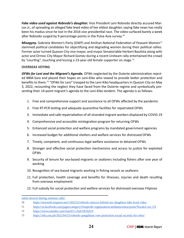*Fake video used against Robredo's daughter.* Vice President Leni Robredo directly accused Marcos Jr., of spreading an alleged fake lewd video of her eldest daughter, saying fake news has really been his modus since he lost in the 2016 vice presidential race. The video surfaced barely a week after Robredo surged by 9 percentage points in the Pulse Asia survey.<sup>70</sup>

*Misogyny***.** Gabriela Women's Party (GWP) and Amihan National Federation of Peasant Women<sup>71</sup> slammed political candidates for objectifying and degrading women during their political rallies. Former actor turned Quezon City vice mayor, and mayor Senatoriable Herbert Bautista along with actor and Ormoc City Mayor Richard Gomez during a recent Uniteam rally entertained the crowd by "courting", touching and kissing a 23-year old female supporter on stage.<sup>72</sup>

#### **OVERSEAS VOTING**

*OFWs for Leni and the Migrant's Agenda.* OFWs neglected by the Duterte administration rejected BBM-Sara and placed their hopes on Leni-Kiko who vowed to provide better protection and benefits to them.<sup>73</sup> "OFWs for Leni" trooped to the Leni-Kiko headquarters in Quezon City on May 3, 2022, recounting the neglect they have faced from the Duterte regime and symbolically presenting their 14-point migrant's agenda to the Leni-Kiko tandem. The agenda is as follows:

- 1. Free and comprehensive support and assistance to all OFWs affected by the pandemic
- 2. Free RT-PCR testing and adequate quarantine facilities for repatriated OFWs
- 3. Immediate and safe repatriatiation of all stranded migrant workers displaced by COVID-19
- 4. Comprehensive and accessible reintegration program for returning OFWs
- 5. Enhanced social protection and welfare programs by mandated government agencies
- 6. Increased budget for additional shelters and welfare services for distressed OFWs
- 7. Timely, competent, and continuous legal welfare assistance to detained OFWs
- 8. Stronger and effective social protection mechanisms and access to justice for exploited OFWs
- 9. Security of tenure for sea-based migrants or seafarers including fishers after one year of working
- 10. Recognition of sea-based migrants working in fishing vessels as seafarers
- 11. Full protection, health coverage and benefits for illnesses, injuries and death resulting from overseas employment
- 12. Full subsidy for social protection and welfare services for distressed overseas Filipinos

[nalist-shoved-during-uniteam-rally/](https://cmfr-phil.org/press-freedom-protection/attacks-and-threats-against-the-media/alerts/rappler-journalist-shoved-during-uniteam-rally/)

<sup>70</sup> <https://newsinfo.inquirer.net/1582252/robredo-marcos-behind-my-daughters-fake-lewd-video>

<sup>71</sup> [https://m.facebook.com/pages/category/Nonprofit-organization/amihanwomen/posts/?locale2=en\\_US](https://m.facebook.com/pages/category/Nonprofit-organization/amihanwomen/posts/?locale2=en_US)

<sup>72</sup> <https://www.youtube.com/watch?v=ZuIv5fOAJU0>

<sup>73</sup> <https://mb.com.ph/2022/04/25/robredo-pangilinan-vow-protection-social-security-for-ofws/>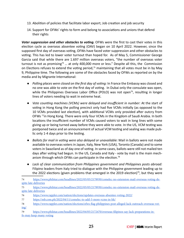- 13. Abolition of policies that facilitate labor export; Job creation and job security
- 14. Support for OFWs' rights to form and belong to associations and unions that defend their rights

*Voter suppression and other obstacles to voting.* OFWs were the first to cast their votes in this election cycle as overseas absentee voting (OAV) began on 10 April 2022. However, since the supposed first day of overseas voting, OFWs have faced voter suppression and other obstacles to voting. This has led to lower voter turnout than hoped for. As of May 5, Commissioner George Garcia said that while there are 1.697 million overseas voters, "the number of overseas voter turnout is not as promising<sup>74</sup> ... at only 400,000 more or less." Despite all this, the Commission on Elections refuses to extend the voting period,<sup>75</sup> maintaining that all votes must be in by May 9, Philippine time. The following are some of the obstacles faced by OFWs as reported on by the media and by Migrante International:

- *● Polling places were closed on the first day of voting:* In France the Embassy was closed and no one was able to vote on the first day of voting. In Dubai only the consulate was open, while the Philippines Overseas Labor Office (POLO) was not open<sup>76</sup>, resulting in longer lines of voters needing to wait in extreme heat.
- *● Vote counting machines (VCMs) were delayed and insufficient in number:* At the start of voting in Hong Kong the polling precinct only had five VCMs initially (as opposed to the 10 VCMs provided last election), with additional VCMs only provided after outcry from OFWs<sup>77</sup>in Hong Kong. There were only four VCMs in the Kingdom of Saudi Arabia. In both locations the insufficient number of VCMs caused voters to wait in long lines with some giving up or being turned away before they were able to vote. In the US, VCM testing was postponed twice and an announcement of actual VCM testing and sealing was made public only 1-4 days prior to the testing.
- *● Ballots for mail in voting were also delayed or unavailable:* Mail in ballots were not made available to overseas voters in Japan, Italy, New York (USA), Toronto (Canada) and to some voters in Swaziland as of day one of voting. In some cases, ballots were still not mailed ten days after voting had begun. In the US, Canada and Italy - vote by mail is the main mechanism through which OFWs can participate in the election.<sup>78</sup>
- *● Lack of clear communication from Philippines government and Philippines posts abroad:*  Filipino leaders from Italy tried to dialogue with the Philippine government leading up to the 2022 elections (given problems that emerged in the 2019 election)<sup>79</sup>, but they were

77 <https://mb.com.ph/2022/04/11/comelec-to-add-5-more-vcms-in-hk/>

79 [https://www.philstar.com/headlines/2022/04/05/2172470/overseas-filipinos-say-lack-preparations-in](https://www.philstar.com/headlines/2022/04/05/2172470/overseas-filipinos-say-lack-preparations-info-may-keep-many-voting)[fo-may-keep-many-voting](https://www.philstar.com/headlines/2022/04/05/2172470/overseas-filipinos-say-lack-preparations-info-may-keep-many-voting)

<sup>74</sup> [https://www.philstar.com/headlines/2022/05/05/2178930/comelec-no-extension-mail-overseas-voting-de](https://www.philstar.com/headlines/2022/05/05/2178930/comelec-no-extension-mail-overseas-voting-despite-late-deliveries)[spite-late-deliveries](https://www.philstar.com/headlines/2022/05/05/2178930/comelec-no-extension-mail-overseas-voting-despite-late-deliveries)

<sup>75</sup> [https://www.philstar.com/headlines/2022/05/05/2178930/comelec-no-extension-mail-overseas-voting-de](https://www.philstar.com/headlines/2022/05/05/2178930/comelec-no-extension-mail-overseas-voting-despite-late-deliveries)[spite-late-deliveries](https://www.philstar.com/headlines/2022/05/05/2178930/comelec-no-extension-mail-overseas-voting-despite-late-deliveries)

<sup>76</sup> <https://www.rappler.com/nation/elections/updates-overseas-absentee-voting-2022/>

<sup>78</sup> [https://www.rappler.com/nation/elections/ofws-flag-philippines-post-alleged-lack-outreach-overseas-vot](https://www.rappler.com/nation/elections/ofws-flag-philippines-post-alleged-lack-outreach-overseas-voting/)[ing/](https://www.rappler.com/nation/elections/ofws-flag-philippines-post-alleged-lack-outreach-overseas-voting/)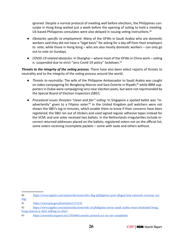ignored. Despite a normal protocol of meeting well before elections, the Philippines consulate in Hong Kong waited just a week before the opening of voting to hold a meeting. US-based Philippines consulates were also delayed in issuing voting instructions. $80$ 

- *● Obstacles specific to employment:* Many of the OFWs in Saudi Arabia who are domestic workers said they did not have a "legal basis" for asking for a day off from their employers to vote; while those in Hong Kong – who are also mostly domestic workers – can only go out to vote on Sundays.
- *● COVID-19 related obstacles:* I[n Shanghai](https://www.pna.gov.ph/articles/1173132)  where most of the OFWs in China work voting is suspended due to strict "zero Covid-19 policy" lockdown.<sup>81</sup>

*Threats to the integrity of the voting process.* There have also been select reports of threats to neutrality and to the integrity of the voting process around the world.

- *● Threats to neutrality*: The wife of the Philippine Ambassador to Saudi Arabia was caught on video campaigning for Bongbong Marcos and Sara Duterte in Riyadh; $^{82}$  while BBM supporters in Dubai were campaigning very near election posts, but were not reprimanded by the Special Board of Election Inspectors (SBEI).
- *● Procedural issues threaten "clean and fair" voting*: In Singapore a spoiled ballot was "inadvertently" given to a Filipino voter. $83$  In the United Kingdom poll watchers were not shown the SBEI's log-in minutes, which enable them to know if their concerns have been registered; the SBEI ran out of stickers and used signed regular adhesive tapes instead for the VCM; and one voter received two ballots. In the Netherlands irregularities include incorrect returned addresses placed on the ballots; registered voters not on the official list; some voters receiving incomplete packets – some with seals and others without.

<sup>80</sup> [https://www.rappler.com/nation/elections/ofws-flag-philippines-post-alleged-lack-outreach-overseas-vot](https://www.rappler.com/nation/elections/ofws-flag-philippines-post-alleged-lack-outreach-overseas-voting/)[ing/](https://www.rappler.com/nation/elections/ofws-flag-philippines-post-alleged-lack-outreach-overseas-voting/)

<sup>81</sup> <https://www.pna.gov.ph/articles/1173132>

<sup>82</sup> [https://www.rappler.com/nation/elections/wife-of-philippine-envoy-saudi-arabia-wears-ferdinand-bong](https://www.rappler.com/nation/elections/wife-of-philippine-envoy-saudi-arabia-wears-ferdinand-bongbong-marcos-jr-shirt-talking-to-ofws/)[bong-marcos-jr-shirt-talking-to-ofws/](https://www.rappler.com/nation/elections/wife-of-philippine-envoy-saudi-arabia-wears-ferdinand-bongbong-marcos-jr-shirt-talking-to-ofws/)

<sup>83</sup> <https://newsinfo.inquirer.net/1583666/comelec-pressed-act-on-oav-complaints>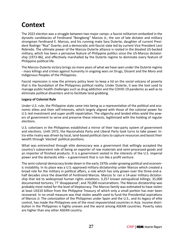### **Context**

The 2022 election was a struggle between two major camps: a fascist militarism embodied in the dynastic candidacies of Ferdinand "Bongbong" Marcos Jr., the son of late dictator and military strongman Ferdinand E. Marcos, and his running mate Sara Duterte, daughter of current President Rodrigo "Roa" Duerte; and a democratic anti-fascist slate led by current Vice President Leni Robredo. The ultimate power of the Marcos-Duterte alliance is rooted in the bloated US-backed military, which has been a pervasive feature of Philippine politics since the US-Marcos dictatorship (1972-86), and effectively marshalled by the Duterte regime to dominate every feature of Philippine political life.

The Marcos-Duterte victory brings six more years of what we have seen under the Duterte regime - mass killings and crimes against humanity in ongoing wars on Drugs, Dissent and the Moro and Indigenous Peoples of the Philippines.

Fascist repression is now the primary policy lever to keep a lid on the social volcano of poverty that is the foundation of the Philippines political reality. Under Duterte, it was the tool used to manage public health challenges such as drug addiction and the COVID-19 pandemic as well as to eliminate political dissenters and to facilitate land-grabbing.

#### **Legacy of Colonial Rule**

Under U.S. rule, the Philippine state came into being as a representative of the political and economic elites and their self-interests, which largely aligned with those of the colonial power for U.S.-led investment and super profit repatriation. The oligarchy and landed elites wield the powers of government to serve and preserve these interests, legitimized with the holding of regular elections.

U.S. colonizers in the Philippines established a mirror of their two-party system of government and elections. Until 1972, the Nacionalista Party and Liberal Party took turns to take power. Intra-elite rivalry was driven by local, land-based political clans to capture resources and boost their wealth through 'elected' political positions.

What was entrenched through elite democracy was a government that willingly accepted the country's subservient role of being an exporter of raw materials and semi-processed goods and an importer of finished products. It is a government vested in the interests of the U.S. imperial power and the domestic elite – a government that is run like a profit venture.

The semi-colonial democracy broke down in the early 1970s under growing political and economic instability. In its place was a U.S.-approved military dictatorship under Marcos which created a broad role for the military in political affairs, a role which has only grown over the three-and-ahalf decades since the downfall of Ferdinand Marcos. Marcos Sr. ran a 14-year military dictatorship that led to widespread human rights violations: 3,257 known extrajudicial killings; 35,000 documented tortures; 77 'disappeared'; and 70,000 incarcerations. The Marcos dictatorship was probably most noted for the level of kleptocracy. The Marcos family was estimated to have stolen at least US\$10 billion from the Philippine Treasury of which only a small portion has ever been recovered. In no small measure was that stolen wealth used to fund the Presidential aspirations of Marcos Jr. The colonization of the Philippines under Spain and the U.S., and its legacy of elite control, has made the Philippines one of the most impoverished countries in Asia. Income distribution in the Philippines is highly uneven and the worst among ASEAN countries. Poverty rates are higher than any other ASEAN country.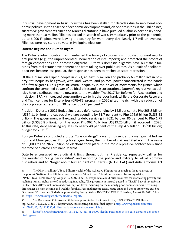Industrial development in basic industries has been stalled for decades due to neoliberal economic policies. In the absence of economic development and job opportunities in the Philippines, successive governments since the Marcos dictatorship have pursued a labor export policy sending more than 10 million Filipinos abroad in search of work. Immediately prior to the pandemic, up to 6,000 Filipinos were leaving the country for work every day. Nearly 1.7 million overseas Filipinos were registered to vote in Philippine elections.

#### **Duterte Regime and Human Rights**

The Duterte administration has maintained the legacy of colonialism. It pushed forward neoliberal policies (e.g., the unprecedented liberalization of rice imports) and protected the profits of foreign corporations and domestic oligarchs. Duterte's domestic oligarchs have built their fortunes from real estate development and from taking over public utilities. As pursuit of neoliberal doctrines become less popular, the response has been to ratchet up state repression.

Of the 109 million Filipino people in 2021, at least 55 million and probably 65 million live in poverty. Yet inequality has grown, with land, wealth, and political power concentrated in the hands of a few oligarchs. This gross structural inequality is the driver of movements for justice which confront the combined power of political elites and big corporations. Duterte's regressive tax policies have distributed income upwards to the wealthy. The 2017 Tax Reform for Acceleration and Inclusion (TRAIN) increased consumption tax to hit the poor hard, while the Corporate Recovery and Tax Incentives for Enterprises (CREATE) program in 2020 gifted the rich with the reduction of the corporate tax rate from 30 per cent to 25 per cent.<sup>84</sup>

President Duterte's 2021 Budget increased defence spending by 14.5 per cent to Php 205.8 billion (US\$4.11 billion) and cut social welfare spending by 51.7 per cent to Php 176.9 billion (US\$3.53 billion). The government will expand its debt servicing in 2021 by over 86 per cent to Php 1.79 trillion (US\$35.8 billion), from the record Php 962.46 billion (US\$19.25 billion) it recorded in 2020. At this rate, debt servicing equates to nearly 40 per cent of the Php 4.5 trillion (US\$90 billion) budget for 2021.85

Rodrigo Duterte conducted a brutal "war on drugs", a war on dissent and a war against Indigenous and Moro peoples. During his six-year term, the number of civilians killed was in the range of 30,000.<sup>86</sup> The 2022 Philippine elections took place in the most repressive context seen since the time of dictator Ferdinand Marcos.

Duterte encouraged extrajudicial killings throughout his Presidency, repeatedly calling for the murder of "drug personalities" and exhorting the police and military to kill all communist rebels and to "forget about human rights." Duterte's (NTF-ELCAC) and Anti-Terrorism Act

<sup>84</sup> The Php4.1 trillion (US\$82 billion) wealth of the richest 50 Filipinos is as much as the total assets of the poorest 60-70 million Filipinos. See Document 50 in Annex: Slideshow presented by Sonny Africa, INVESTIGATE PH Hearing, August 10, 2021, Slide 12. Tax policies could raise resources for eradicating poverty and realizing human rights, as well as reducing inequality. The government instead passed its TRAIN Law of tax reforms in December 2017 which increased consumption taxes including on the majority poor population while reducing direct taxes on high income and wealthy families. Personal income taxes, estate taxes and donor taxes were cut: See Document 50 in Annex: Slideshow presented by Sonny Africa, INVESTIGATE PH Hearing, August 10, 2021, Slide 15. [https://www.investigate.ph/media/final-report.](https://www.investigate.ph/media/final-report)

<sup>85</sup> See Document 50 in Annex: Slideshow presentation by Sonny Africa, INVESTIGATE PH Hearing, August 10, 2021, Slide 21. https://www.investigate.ph/media/final-report ; [https://www.philstar.com/busi](https://www.philstar.com/business/2021/07/23/2114385/dof-head-allays-concerns-debt-servicing)[ness/2021/07/23/2114385/dof-head-allays-concerns-debt-servicing.](https://www.philstar.com/business/2021/07/23/2114385/dof-head-allays-concerns-debt-servicing)

<sup>86</sup> [https://newsinfo.inquirer.net/1517512/52-out-of-30000-deaths-petitioner-in-icc-case-disputes-doj-probe](https://newsinfo.inquirer.net/1517512/52-out-of-30000-deaths-petitioner-in-icc-case-disputes-doj-probe-of-drug-war)[of-drug-war](https://newsinfo.inquirer.net/1517512/52-out-of-30000-deaths-petitioner-in-icc-case-disputes-doj-probe-of-drug-war).